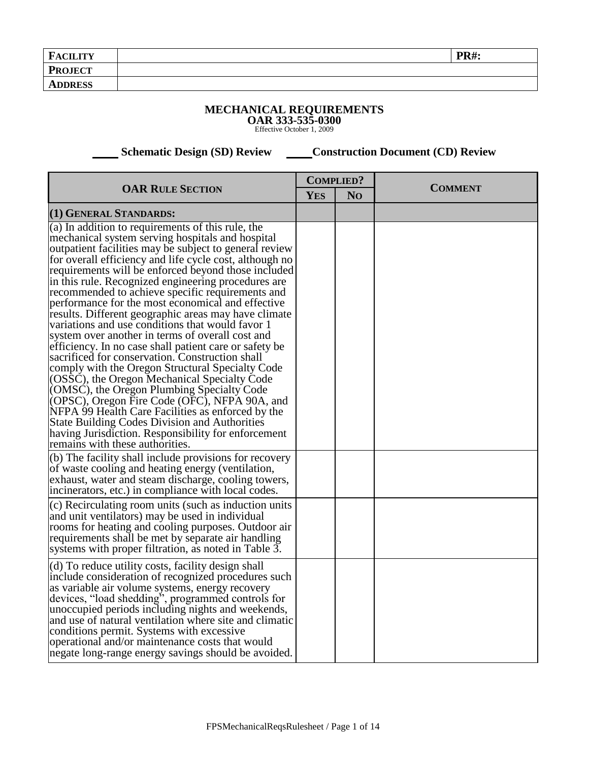| <b>FACILITY</b> | <b>PR#:</b> |
|-----------------|-------------|
| <b>PROJECT</b>  |             |
| <b>ADDRESS</b>  |             |

## **MECHANICAL REQUIREMENTS OAR 333-535-0300** Effective October 1, 2009

 **Schematic Design (SD) Review Construction Document (CD) Review** 

| <b>OAR RULE SECTION</b>                                                                                                                                                                                                                                                                                                                                                                                                                                                                                                                                                                                                                                                                                                                                                                                                                                                                                                                                                                                                                                                                                                                  | <b>COMPLIED?</b> |                | <b>COMMENT</b> |
|------------------------------------------------------------------------------------------------------------------------------------------------------------------------------------------------------------------------------------------------------------------------------------------------------------------------------------------------------------------------------------------------------------------------------------------------------------------------------------------------------------------------------------------------------------------------------------------------------------------------------------------------------------------------------------------------------------------------------------------------------------------------------------------------------------------------------------------------------------------------------------------------------------------------------------------------------------------------------------------------------------------------------------------------------------------------------------------------------------------------------------------|------------------|----------------|----------------|
|                                                                                                                                                                                                                                                                                                                                                                                                                                                                                                                                                                                                                                                                                                                                                                                                                                                                                                                                                                                                                                                                                                                                          | <b>YES</b>       | N <sub>O</sub> |                |
| (1) GENERAL STANDARDS:                                                                                                                                                                                                                                                                                                                                                                                                                                                                                                                                                                                                                                                                                                                                                                                                                                                                                                                                                                                                                                                                                                                   |                  |                |                |
| (a) In addition to requirements of this rule, the<br>mechanical system serving hospitals and hospital<br>outpatient facilities may be subject to general review<br>for overall efficiency and life cycle cost, although no<br>requirements will be enforced beyond those included<br>in this rule. Recognized engineering procedures are<br>recommended to achieve specific requirements and<br>performance for the most economical and effective<br>results. Different geographic areas may have climate<br>variations and use conditions that would favor 1<br>system over another in terms of overall cost and<br>efficiency. In no case shall patient care or safety be<br>sacrificed for conservation. Construction shall<br>comply with the Oregon Structural Specialty Code<br>(OSSC), the Oregon Mechanical Specialty Code<br>(OMSC), the Oregon Plumbing Specialty Code<br>(OPSC), Oregon Fire Code (OFC), NFPA 90A, and<br>NFPA 99 Health Care Facilities as enforced by the<br><b>State Building Codes Division and Authorities</b><br>having Jurisdiction. Responsibility for enforcement<br>remains with these authorities. |                  |                |                |
| (b) The facility shall include provisions for recovery<br>of waste cooling and heating energy (ventilation,<br>exhaust, water and steam discharge, cooling towers,<br>incinerators, etc.) in compliance with local codes.                                                                                                                                                                                                                                                                                                                                                                                                                                                                                                                                                                                                                                                                                                                                                                                                                                                                                                                |                  |                |                |
| (c) Recirculating room units (such as induction units<br>and unit ventilators) may be used in individual<br>rooms for heating and cooling purposes. Outdoor air<br>requirements shall be met by separate air handling<br>systems with proper filtration, as noted in Table 3.                                                                                                                                                                                                                                                                                                                                                                                                                                                                                                                                                                                                                                                                                                                                                                                                                                                            |                  |                |                |
| (d) To reduce utility costs, facility design shall<br>include consideration of recognized procedures such<br>as variable air volume systems, energy recovery<br>devices, "load shedding", programmed controls for<br>unoccupied periods including nights and weekends,<br>and use of natural ventilation where site and climatic<br>conditions permit. Systems with excessive<br>operational and/or maintenance costs that would<br>negate long-range energy savings should be avoided.                                                                                                                                                                                                                                                                                                                                                                                                                                                                                                                                                                                                                                                  |                  |                |                |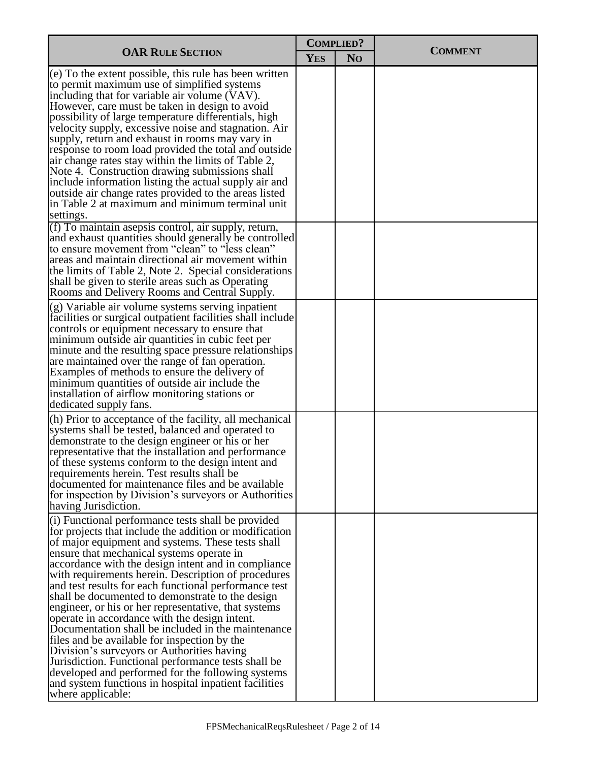| <b>COMPLIED?</b>                                                                                                                                                                                                                                                                                                                                                                                                                                                                                                                                                                                                                                                                                                                                                                                                                                                                                 |            |                |                |
|--------------------------------------------------------------------------------------------------------------------------------------------------------------------------------------------------------------------------------------------------------------------------------------------------------------------------------------------------------------------------------------------------------------------------------------------------------------------------------------------------------------------------------------------------------------------------------------------------------------------------------------------------------------------------------------------------------------------------------------------------------------------------------------------------------------------------------------------------------------------------------------------------|------------|----------------|----------------|
| <b>OAR RULE SECTION</b>                                                                                                                                                                                                                                                                                                                                                                                                                                                                                                                                                                                                                                                                                                                                                                                                                                                                          | <b>YES</b> | N <sub>O</sub> | <b>COMMENT</b> |
| (e) To the extent possible, this rule has been written<br>to permit maximum use of simplified systems<br>including that for variable air volume (VAV).<br>However, care must be taken in design to avoid<br>possibility of large temperature differentials, high<br>velocity supply, excessive noise and stagnation. Air<br>supply, return and exhaust in rooms may vary in<br>response to room load provided the total and outside<br>air change rates stay within the limits of Table 2,<br>Note 4. Construction drawing submissions shall<br>include information listing the actual supply air and<br>outside air change rates provided to the areas listed<br>in Table 2 at maximum and minimum terminal unit<br>settings.                                                                                                                                                                   |            |                |                |
| (f) To maintain asepsis control, air supply, return,<br>and exhaust quantities should generally be controlled<br>to ensure movement from "clean" to "less clean"<br>areas and maintain directional air movement within<br>the limits of Table 2, Note 2. Special considerations<br>shall be given to sterile areas such as Operating<br>Rooms and Delivery Rooms and Central Supply.                                                                                                                                                                                                                                                                                                                                                                                                                                                                                                             |            |                |                |
| (g) Variable air volume systems serving inpatient<br>facilities or surgical outpatient facilities shall include<br>controls or equipment necessary to ensure that<br>minimum outside air quantities in cubic feet per<br>minute and the resulting space pressure relationships<br>are maintained over the range of fan operation.<br>Examples of methods to ensure the delivery of<br>minimum quantities of outside air include the<br>installation of airflow monitoring stations or<br>dedicated supply fans.                                                                                                                                                                                                                                                                                                                                                                                  |            |                |                |
| (h) Prior to acceptance of the facility, all mechanical<br>systems shall be tested, balanced and operated to<br>demonstrate to the design engineer or his or her<br>representative that the installation and performance<br>of these systems conform to the design intent and<br>requirements herein. Test results shall be<br>documented for maintenance files and be available<br>for inspection by Division's surveyors or Authorities<br>having Jurisdiction.                                                                                                                                                                                                                                                                                                                                                                                                                                |            |                |                |
| (i) Functional performance tests shall be provided<br>for projects that include the addition or modification<br>of major equipment and systems. These tests shall<br>ensure that mechanical systems operate in<br>accordance with the design intent and in compliance<br>with requirements herein. Description of procedures<br>and test results for each functional performance test<br>shall be documented to demonstrate to the design<br>engineer, or his or her representative, that systems<br>operate in accordance with the design intent.<br>Documentation shall be included in the maintenance<br>files and be available for inspection by the<br>Division's surveyors or Authorities having<br>Jurisdiction. Functional performance tests shall be<br>developed and performed for the following systems<br>and system functions in hospital inpatient facilities<br>where applicable: |            |                |                |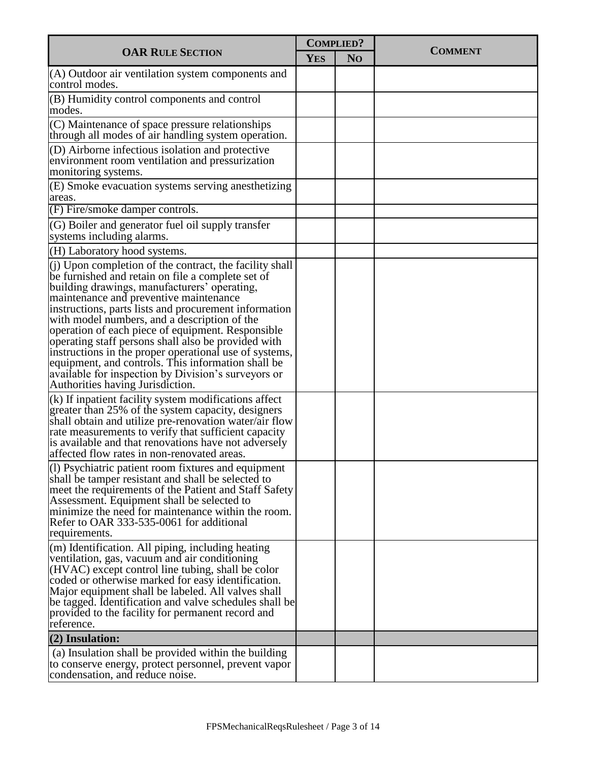|                                                                                                                                                                                                                                                                                                                                                                                                                                                                                                                                                                                                                                          | <b>COMPLIED?</b> |                |                |  |
|------------------------------------------------------------------------------------------------------------------------------------------------------------------------------------------------------------------------------------------------------------------------------------------------------------------------------------------------------------------------------------------------------------------------------------------------------------------------------------------------------------------------------------------------------------------------------------------------------------------------------------------|------------------|----------------|----------------|--|
| <b>OAR RULE SECTION</b>                                                                                                                                                                                                                                                                                                                                                                                                                                                                                                                                                                                                                  | <b>YES</b>       | N <sub>O</sub> | <b>COMMENT</b> |  |
| $(A)$ Outdoor air ventilation system components and<br>control modes.                                                                                                                                                                                                                                                                                                                                                                                                                                                                                                                                                                    |                  |                |                |  |
| (B) Humidity control components and control<br>modes.                                                                                                                                                                                                                                                                                                                                                                                                                                                                                                                                                                                    |                  |                |                |  |
| (C) Maintenance of space pressure relationships<br>through all modes of air handling system operation.                                                                                                                                                                                                                                                                                                                                                                                                                                                                                                                                   |                  |                |                |  |
| (D) Airborne infectious isolation and protective<br>environment room ventilation and pressurization<br>monitoring systems.                                                                                                                                                                                                                                                                                                                                                                                                                                                                                                               |                  |                |                |  |
| (E) Smoke evacuation systems serving anesthetizing<br>areas.                                                                                                                                                                                                                                                                                                                                                                                                                                                                                                                                                                             |                  |                |                |  |
| (F) Fire/smoke damper controls.                                                                                                                                                                                                                                                                                                                                                                                                                                                                                                                                                                                                          |                  |                |                |  |
| (G) Boiler and generator fuel oil supply transfer<br>systems including alarms.                                                                                                                                                                                                                                                                                                                                                                                                                                                                                                                                                           |                  |                |                |  |
| (H) Laboratory hood systems.                                                                                                                                                                                                                                                                                                                                                                                                                                                                                                                                                                                                             |                  |                |                |  |
| $(i)$ Upon completion of the contract, the facility shall<br>be furnished and retain on file a complete set of<br>building drawings, manufacturers' operating,<br>maintenance and preventive maintenance<br>instructions, parts lists and procurement information<br>with model numbers, and a description of the<br>operation of each piece of equipment. Responsible<br>operating staff persons shall also be provided with<br>instructions in the proper operational use of systems,<br>equipment, and controls. This information shall be<br>available for inspection by Division's surveyors or<br>Authorities having Jurisdiction. |                  |                |                |  |
| $(k)$ If inpatient facility system modifications affect<br>greater than 25% of the system capacity, designers<br>shall obtain and utilize pre-renovation water/air flow<br>rate measurements to verify that sufficient capacity<br>is available and that renovations have not adversely<br>affected flow rates in non-renovated areas.                                                                                                                                                                                                                                                                                                   |                  |                |                |  |
| (1) Psychiatric patient room fixtures and equipment<br>shall be tamper resistant and shall be selected to<br>meet the requirements of the Patient and Staff Safety<br>Assessment. Equipment shall be selected to<br>minimize the need for maintenance within the room.<br>Refer to OAR 333-535-0061 for additional<br>requirements.                                                                                                                                                                                                                                                                                                      |                  |                |                |  |
| $\vert$ (m) Identification. All piping, including heating<br>ventilation, gas, vacuum and air conditioning<br>$(HVAC)$ except control line tubing, shall be color<br>coded or otherwise marked for easy identification.<br>Major equipment shall be labeled. All valves shall<br>be tagged. Identification and valve schedules shall be<br>provided to the facility for permanent record and<br>reference.                                                                                                                                                                                                                               |                  |                |                |  |
| $(2)$ Insulation:                                                                                                                                                                                                                                                                                                                                                                                                                                                                                                                                                                                                                        |                  |                |                |  |
| (a) Insulation shall be provided within the building<br>to conserve energy, protect personnel, prevent vapor<br>condensation, and reduce noise.                                                                                                                                                                                                                                                                                                                                                                                                                                                                                          |                  |                |                |  |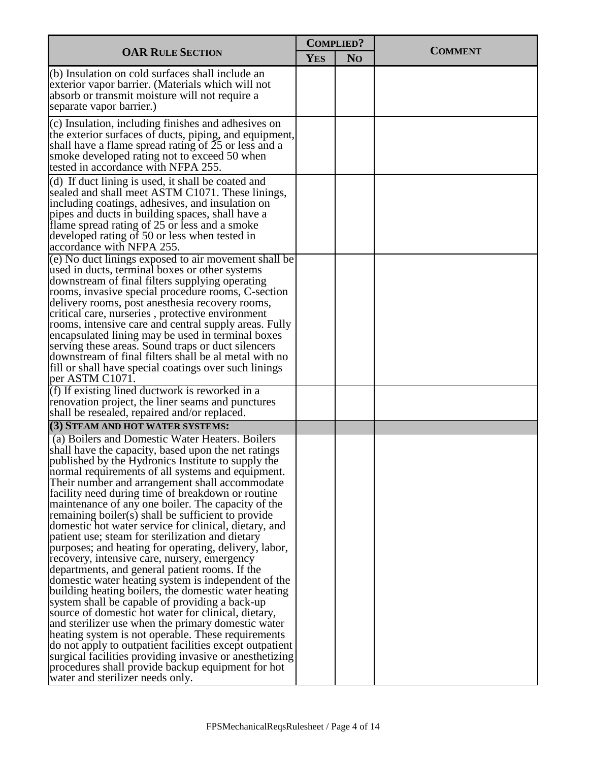| <b>COMPLIED?</b>                                                                                                                                                                                                                                                                                                                                                                                                                                                                                                                                                                                                                                                                                                                                                                                                                                                                                                                                                                                                                                                                                                                                                                                                                                                |            |                | <b>COMMENT</b> |  |
|-----------------------------------------------------------------------------------------------------------------------------------------------------------------------------------------------------------------------------------------------------------------------------------------------------------------------------------------------------------------------------------------------------------------------------------------------------------------------------------------------------------------------------------------------------------------------------------------------------------------------------------------------------------------------------------------------------------------------------------------------------------------------------------------------------------------------------------------------------------------------------------------------------------------------------------------------------------------------------------------------------------------------------------------------------------------------------------------------------------------------------------------------------------------------------------------------------------------------------------------------------------------|------------|----------------|----------------|--|
| <b>OAR RULE SECTION</b>                                                                                                                                                                                                                                                                                                                                                                                                                                                                                                                                                                                                                                                                                                                                                                                                                                                                                                                                                                                                                                                                                                                                                                                                                                         | <b>YES</b> | N <sub>O</sub> |                |  |
| (b) Insulation on cold surfaces shall include an<br>exterior vapor barrier. (Materials which will not<br>absorb or transmit moisture will not require a<br>separate vapor barrier.)                                                                                                                                                                                                                                                                                                                                                                                                                                                                                                                                                                                                                                                                                                                                                                                                                                                                                                                                                                                                                                                                             |            |                |                |  |
| (c) Insulation, including finishes and adhesives on<br>the exterior surfaces of ducts, piping, and equipment,<br>shall have a flame spread rating of $25$ or less and a<br>smoke developed rating not to exceed 50 when<br>tested in accordance with NFPA 255.                                                                                                                                                                                                                                                                                                                                                                                                                                                                                                                                                                                                                                                                                                                                                                                                                                                                                                                                                                                                  |            |                |                |  |
| (d) If duct lining is used, it shall be coated and<br>sealed and shall meet ASTM C1071. These linings,<br>including coatings, adhesives, and insulation on<br>pipes and ducts in building spaces, shall have a<br>flame spread rating of 25 or less and a smoke<br>developed rating of 50 or less when tested in<br>accordance with NFPA 255.                                                                                                                                                                                                                                                                                                                                                                                                                                                                                                                                                                                                                                                                                                                                                                                                                                                                                                                   |            |                |                |  |
| (e) No duct linings exposed to air movement shall be<br>used in ducts, terminal boxes or other systems<br>downstream of final filters supplying operating<br>rooms, invasive special procedure rooms, C-section<br>delivery rooms, post anesthesia recovery rooms,<br>critical care, nurseries, protective environment<br>rooms, intensive care and central supply areas. Fully<br>encapsulated lining may be used in terminal boxes<br>serving these areas. Sound traps or duct silencers<br>downstream of final filters shall be al metal with no<br>fill or shall have special coatings over such linings<br>per ASTM C1071.                                                                                                                                                                                                                                                                                                                                                                                                                                                                                                                                                                                                                                 |            |                |                |  |
| (f) If existing lined ductwork is reworked in a<br>renovation project, the liner seams and punctures<br>shall be resealed, repaired and/or replaced.                                                                                                                                                                                                                                                                                                                                                                                                                                                                                                                                                                                                                                                                                                                                                                                                                                                                                                                                                                                                                                                                                                            |            |                |                |  |
| (3) STEAM AND HOT WATER SYSTEMS:                                                                                                                                                                                                                                                                                                                                                                                                                                                                                                                                                                                                                                                                                                                                                                                                                                                                                                                                                                                                                                                                                                                                                                                                                                |            |                |                |  |
| (a) Boilers and Domestic Water Heaters. Boilers<br>shall have the capacity, based upon the net ratings<br>published by the Hydronics Institute to supply the<br>normal requirements of all systems and equipment.<br>Their number and arrangement shall accommodate<br>facility need during time of breakdown or routine<br>maintenance of any one boiler. The capacity of the<br>remaining boiler(s) shall be sufficient to provide<br>domestic hot water service for clinical, dietary, and<br>patient use; steam for sterilization and dietary<br>purposes; and heating for operating, delivery, labor,<br>recovery, intensive care, nursery, emergency<br>departments, and general patient rooms. If the<br>domestic water heating system is independent of the<br>building heating boilers, the domestic water heating<br>system shall be capable of providing a back-up<br>source of domestic hot water for clinical, dietary,<br>and sterilizer use when the primary domestic water<br>heating system is not operable. These requirements<br>do not apply to outpatient facilities except outpatient<br>surgical facilities providing invasive or anesthetizing<br>procedures shall provide backup equipment for hot<br>water and sterilizer needs only. |            |                |                |  |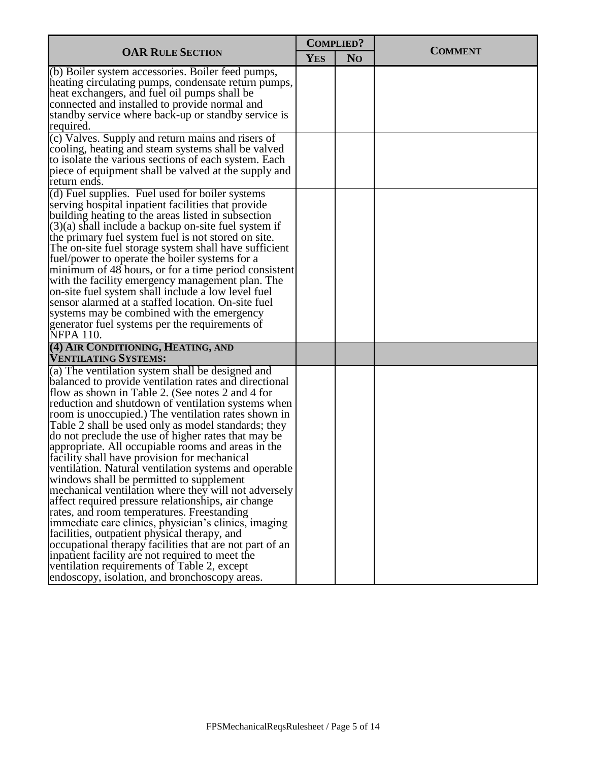| <b>COMPLIED?</b>                                                                                                                                                                                                                                                                                                                                                                                                                                                                                                                                                                                                                                                                                                                                                                                                                                                                                                                                                                                                                                                                      |            |                |                |  |
|---------------------------------------------------------------------------------------------------------------------------------------------------------------------------------------------------------------------------------------------------------------------------------------------------------------------------------------------------------------------------------------------------------------------------------------------------------------------------------------------------------------------------------------------------------------------------------------------------------------------------------------------------------------------------------------------------------------------------------------------------------------------------------------------------------------------------------------------------------------------------------------------------------------------------------------------------------------------------------------------------------------------------------------------------------------------------------------|------------|----------------|----------------|--|
| <b>OAR RULE SECTION</b>                                                                                                                                                                                                                                                                                                                                                                                                                                                                                                                                                                                                                                                                                                                                                                                                                                                                                                                                                                                                                                                               | <b>YES</b> | N <sub>O</sub> | <b>COMMENT</b> |  |
| (b) Boiler system accessories. Boiler feed pumps,<br>heating circulating pumps, condensate return pumps,<br>heat exchangers, and fuel oil pumps shall be<br>connected and installed to provide normal and<br>standby service where back-up or standby service is                                                                                                                                                                                                                                                                                                                                                                                                                                                                                                                                                                                                                                                                                                                                                                                                                      |            |                |                |  |
| required.<br>(c) Valves. Supply and return mains and risers of                                                                                                                                                                                                                                                                                                                                                                                                                                                                                                                                                                                                                                                                                                                                                                                                                                                                                                                                                                                                                        |            |                |                |  |
| cooling, heating and steam systems shall be valved<br>to isolate the various sections of each system. Each<br>piece of equipment shall be valved at the supply and<br>return ends.                                                                                                                                                                                                                                                                                                                                                                                                                                                                                                                                                                                                                                                                                                                                                                                                                                                                                                    |            |                |                |  |
| (d) Fuel supplies. Fuel used for boiler systems<br>serving hospital inpatient facilities that provide<br>building heating to the areas listed in subsection<br>$(3)(a)$ shall include a backup on-site fuel system if<br>the primary fuel system fuel is not stored on site.<br>The on-site fuel storage system shall have sufficient<br>fuel/power to operate the boiler systems for a<br>minimum of 48 hours, or for a time period consistent<br>with the facility emergency management plan. The<br>on-site fuel system shall include a low level fuel<br>sensor alarmed at a staffed location. On-site fuel<br>systems may be combined with the emergency<br>generator fuel systems per the requirements of<br><b>NFPA 110.</b>                                                                                                                                                                                                                                                                                                                                                   |            |                |                |  |
| (4) AIR CONDITIONING, HEATING, AND<br><b>VENTILATING SYSTEMS:</b>                                                                                                                                                                                                                                                                                                                                                                                                                                                                                                                                                                                                                                                                                                                                                                                                                                                                                                                                                                                                                     |            |                |                |  |
| (a) The ventilation system shall be designed and<br>balanced to provide ventilation rates and directional<br>flow as shown in Table 2. (See notes 2 and 4 for<br>reduction and shutdown of ventilation systems when<br>room is unoccupied.) The ventilation rates shown in<br>Table 2 shall be used only as model standards; they<br>do not preclude the use of higher rates that may be<br>appropriate. All occupiable rooms and areas in the<br>facility shall have provision for mechanical<br>ventilation. Natural ventilation systems and operable<br>windows shall be permitted to supplement<br>mechanical ventilation where they will not adversely<br>affect required pressure relationships, air change<br>rates, and room temperatures. Freestanding<br>immediate care clinics, physician's clinics, imaging<br>facilities, outpatient physical therapy, and<br>occupational therapy facilities that are not part of an<br>inpatient facility are not required to meet the<br>ventilation requirements of Table 2, except<br>endoscopy, isolation, and bronchoscopy areas. |            |                |                |  |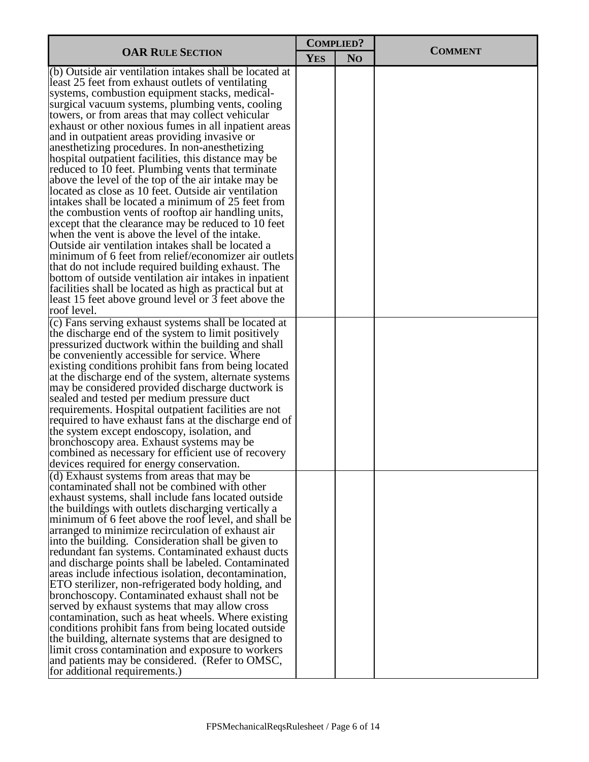|                                                                                                                                                                                                                                                                                                                                                                                                                                                                                                                                                                                                                                                                                                                                                                                                                                                                                                                                                                                                                                                                                                                                                                                                                                                       | <b>COMPLIED?</b> |                |                |
|-------------------------------------------------------------------------------------------------------------------------------------------------------------------------------------------------------------------------------------------------------------------------------------------------------------------------------------------------------------------------------------------------------------------------------------------------------------------------------------------------------------------------------------------------------------------------------------------------------------------------------------------------------------------------------------------------------------------------------------------------------------------------------------------------------------------------------------------------------------------------------------------------------------------------------------------------------------------------------------------------------------------------------------------------------------------------------------------------------------------------------------------------------------------------------------------------------------------------------------------------------|------------------|----------------|----------------|
| <b>OAR RULE SECTION</b>                                                                                                                                                                                                                                                                                                                                                                                                                                                                                                                                                                                                                                                                                                                                                                                                                                                                                                                                                                                                                                                                                                                                                                                                                               | <b>YES</b>       | N <sub>O</sub> | <b>COMMENT</b> |
| (b) Outside air ventilation intakes shall be located at<br>least 25 feet from exhaust outlets of ventilating<br>systems, combustion equipment stacks, medical-<br>surgical vacuum systems, plumbing vents, cooling<br>towers, or from areas that may collect vehicular<br>exhaust or other noxious fumes in all inpatient areas<br>and in outpatient areas providing invasive or<br>anesthetizing procedures. In non-anesthetizing<br>hospital outpatient facilities, this distance may be<br>reduced to 10 feet. Plumbing vents that terminate<br>above the level of the top of the air intake may be<br>located as close as 10 feet. Outside air ventilation<br>intakes shall be located a minimum of 25 feet from<br>the combustion vents of rooftop air handling units,<br>except that the clearance may be reduced to 10 feet<br>when the vent is above the level of the intake.<br>Outside air ventilation intakes shall be located a<br>minimum of 6 feet from relief/economizer air outlets<br>that do not include required building exhaust. The<br>bottom of outside ventilation air intakes in inpatient<br>facilities shall be located as high as practical but at<br>least 15 feet above ground level or 3 feet above the<br>roof level. |                  |                |                |
| (c) Fans serving exhaust systems shall be located at<br>the discharge end of the system to limit positively<br>pressurized ductwork within the building and shall<br>be conveniently accessible for service. Where<br>existing conditions prohibit fans from being located<br>at the discharge end of the system, alternate systems<br>may be considered provided discharge ductwork is<br>sealed and tested per medium pressure duct<br>requirements. Hospital outpatient facilities are not<br>required to have exhaust fans at the discharge end of<br>the system except endoscopy, isolation, and<br>bronchoscopy area. Exhaust systems may be<br>combined as necessary for efficient use of recovery<br>devices required for energy conservation.                                                                                                                                                                                                                                                                                                                                                                                                                                                                                                |                  |                |                |
| (d) Exhaust systems from areas that may be<br>contaminated shall not be combined with other<br>exhaust systems, shall include fans located outside<br>the buildings with outlets discharging vertically a<br>minimum of 6 feet above the roof level, and shall be<br>arranged to minimize recirculation of exhaust air<br>into the building. Consideration shall be given to<br>redundant fan systems. Contaminated exhaust ducts<br>and discharge points shall be labeled. Contaminated<br>areas include infectious isolation, decontamination,<br>ETO sterilizer, non-refrigerated body holding, and<br>bronchoscopy. Contaminated exhaust shall not be<br>served by exhaust systems that may allow cross<br>contamination, such as heat wheels. Where existing<br>conditions prohibit fans from being located outside<br>the building, alternate systems that are designed to<br>limit cross contamination and exposure to workers<br>and patients may be considered. (Refer to OMSC,<br>for additional requirements.)                                                                                                                                                                                                                             |                  |                |                |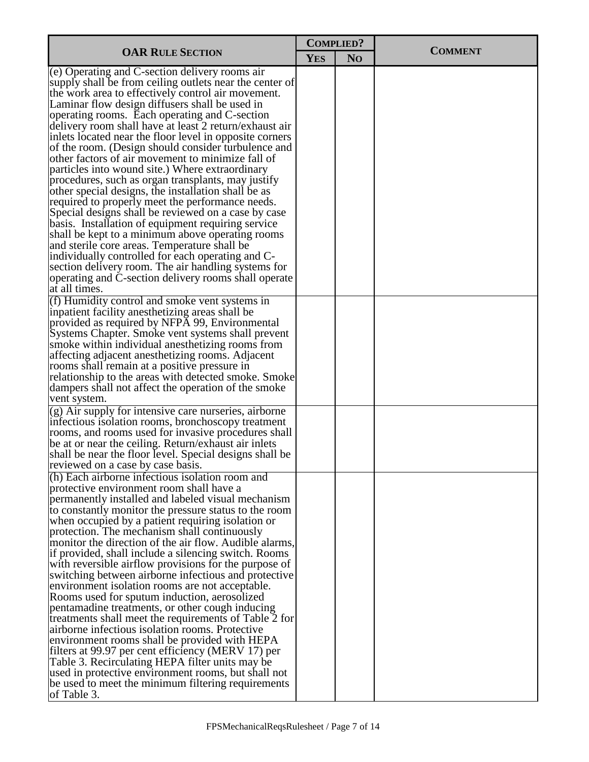| <b>COMPLIED?</b>                                                                                                                                                                                                                                                                                                                                                                                                                                                                                                                                                                                                                                                                                                                                                                                                                                                                                                                                                                                                                                                                                             |            |                |                |  |
|--------------------------------------------------------------------------------------------------------------------------------------------------------------------------------------------------------------------------------------------------------------------------------------------------------------------------------------------------------------------------------------------------------------------------------------------------------------------------------------------------------------------------------------------------------------------------------------------------------------------------------------------------------------------------------------------------------------------------------------------------------------------------------------------------------------------------------------------------------------------------------------------------------------------------------------------------------------------------------------------------------------------------------------------------------------------------------------------------------------|------------|----------------|----------------|--|
| <b>OAR RULE SECTION</b>                                                                                                                                                                                                                                                                                                                                                                                                                                                                                                                                                                                                                                                                                                                                                                                                                                                                                                                                                                                                                                                                                      | <b>YES</b> | N <sub>O</sub> | <b>COMMENT</b> |  |
| (e) Operating and C-section delivery rooms air<br>supply shall be from ceiling outlets near the center of<br>the work area to effectively control air movement.<br>Laminar flow design diffusers shall be used in<br>operating rooms. Each operating and C-section<br>delivery room shall have at least 2 return/exhaust air<br>inlets located near the floor level in opposite corners<br>of the room. (Design should consider turbulence and<br>other factors of air movement to minimize fall of<br>particles into wound site.) Where extraordinary<br>procedures, such as organ transplants, may justify<br>other special designs, the installation shall be as<br>required to properly meet the performance needs.<br>Special designs shall be reviewed on a case by case<br>basis. Installation of equipment requiring service<br>shall be kept to a minimum above operating rooms<br>and sterile core areas. Temperature shall be<br>individually controlled for each operating and C-<br>section delivery room. The air handling systems for<br>operating and C-section delivery rooms shall operate |            |                |                |  |
| at all times.<br>(f) Humidity control and smoke vent systems in<br>inpatient facility anesthetizing areas shall be<br>provided as required by NFPA 99, Environmental<br>Systems Chapter. Smoke vent systems shall prevent<br>smoke within individual anesthetizing rooms from<br>affecting adjacent anesthetizing rooms. Adjacent<br>rooms shall remain at a positive pressure in<br>relationship to the areas with detected smoke. Smoke<br>dampers shall not affect the operation of the smoke<br>vent system.                                                                                                                                                                                                                                                                                                                                                                                                                                                                                                                                                                                             |            |                |                |  |
| (g) Air supply for intensive care nurseries, airborne<br>infectious isolation rooms, bronchoscopy treatment<br>rooms, and rooms used for invasive procedures shall<br>be at or near the ceiling. Return/exhaust air inlets<br>shall be near the floor level. Special designs shall be<br>reviewed on a case by case basis.                                                                                                                                                                                                                                                                                                                                                                                                                                                                                                                                                                                                                                                                                                                                                                                   |            |                |                |  |
| (h) Each airborne infectious isolation room and<br>protective environment room shall have a<br>permanently installed and labeled visual mechanism<br>to constantly monitor the pressure status to the room<br>when occupied by a patient requiring isolation or<br>protection. The mechanism shall continuously<br>monitor the direction of the air flow. Audible alarms,<br>if provided, shall include a silencing switch. Rooms<br>with reversible airflow provisions for the purpose of<br>switching between airborne infectious and protective<br>environment isolation rooms are not acceptable.<br>Rooms used for sputum induction, aerosolized<br>pentamadine treatments, or other cough inducing<br>treatments shall meet the requirements of Table 2 for<br>airborne infectious isolation rooms. Protective<br>environment rooms shall be provided with HEPA<br>filters at 99.97 per cent efficiency (MERV 17) per<br>Table 3. Recirculating HEPA filter units may be<br>used in protective environment rooms, but shall not<br>be used to meet the minimum filtering requirements<br>of Table 3.   |            |                |                |  |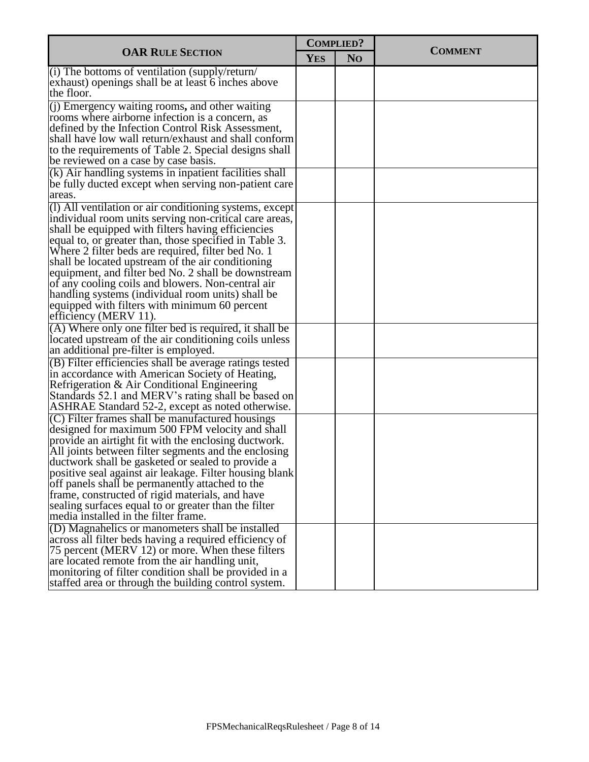|                                                                                                                                                                                                                                                                                                                                                                                                                                                                                                                                                                                         |            | <b>COMPLIED?</b> |                |
|-----------------------------------------------------------------------------------------------------------------------------------------------------------------------------------------------------------------------------------------------------------------------------------------------------------------------------------------------------------------------------------------------------------------------------------------------------------------------------------------------------------------------------------------------------------------------------------------|------------|------------------|----------------|
| <b>OAR RULE SECTION</b>                                                                                                                                                                                                                                                                                                                                                                                                                                                                                                                                                                 | <b>YES</b> | N <sub>O</sub>   | <b>COMMENT</b> |
| (i) The bottoms of ventilation (supply/return/<br>exhaust) openings shall be at least 6 inches above<br>the floor.                                                                                                                                                                                                                                                                                                                                                                                                                                                                      |            |                  |                |
| (j) Emergency waiting rooms, and other waiting<br>rooms where airborne infection is a concern, as<br>defined by the Infection Control Risk Assessment,<br>shall have low wall return/exhaust and shall conform<br>to the requirements of Table 2. Special designs shall<br>be reviewed on a case by case basis.                                                                                                                                                                                                                                                                         |            |                  |                |
| (k) Air handling systems in inpatient facilities shall<br>be fully ducted except when serving non-patient care<br>areas.                                                                                                                                                                                                                                                                                                                                                                                                                                                                |            |                  |                |
| (1) All ventilation or air conditioning systems, except<br>individual room units serving non-critical care areas,<br>shall be equipped with filters having efficiencies<br>equal to, or greater than, those specified in Table 3.<br>Where 2 filter beds are required, filter bed No. 1<br>shall be located upstream of the air conditioning<br>equipment, and filter bed No. 2 shall be downstream<br>of any cooling coils and blowers. Non-central air<br>handling systems (individual room units) shall be<br>equipped with filters with minimum 60 percent<br>efficiency (MERV 11). |            |                  |                |
| (A) Where only one filter bed is required, it shall be<br>located upstream of the air conditioning coils unless<br>an additional pre-filter is employed.                                                                                                                                                                                                                                                                                                                                                                                                                                |            |                  |                |
| (B) Filter efficiencies shall be average ratings tested<br>in accordance with American Society of Heating,<br>Refrigeration & Air Conditional Engineering<br>Standards 52.1 and MERV's rating shall be based on<br>ASHRAE Standard 52-2, except as noted otherwise.                                                                                                                                                                                                                                                                                                                     |            |                  |                |
| $(C)$ Filter frames shall be manufactured housings<br>designed for maximum 500 FPM velocity and shall<br>provide an airtight fit with the enclosing ductwork.<br>All joints between filter segments and the enclosing<br>ductwork shall be gasketed or sealed to provide a<br>positive seal against air leakage. Filter housing blank<br>off panels shall be permanently attached to the<br>frame, constructed of rigid materials, and have<br>sealing surfaces equal to or greater than the filter<br>media installed in the filter frame.                                             |            |                  |                |
| (D) Magnahelics or manometers shall be installed<br>across all filter beds having a required efficiency of<br>75 percent (MERV 12) or more. When these filters<br>are located remote from the air handling unit,<br>monitoring of filter condition shall be provided in a<br>staffed area or through the building control system.                                                                                                                                                                                                                                                       |            |                  |                |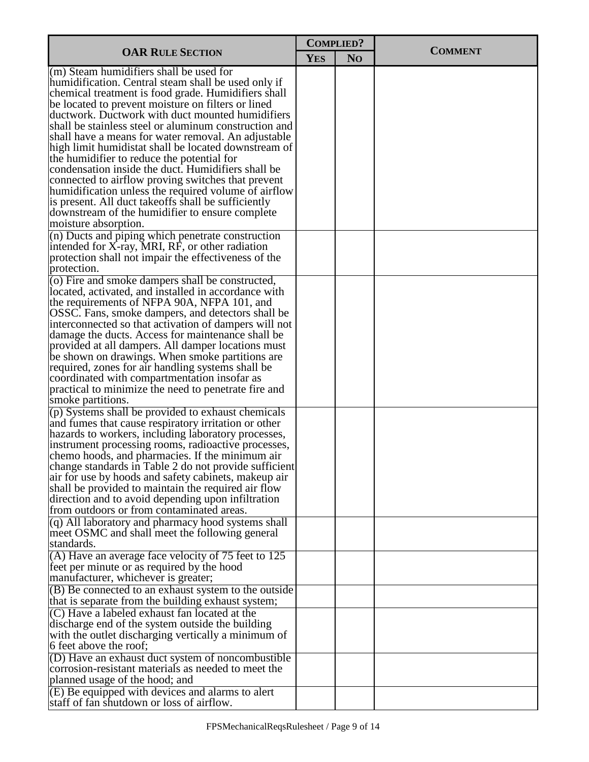|                                                                                                                                                                                                                                                                                                                                                                                                                                                                                                                                                        | <b>COMPLIED?</b> |                |                |  |
|--------------------------------------------------------------------------------------------------------------------------------------------------------------------------------------------------------------------------------------------------------------------------------------------------------------------------------------------------------------------------------------------------------------------------------------------------------------------------------------------------------------------------------------------------------|------------------|----------------|----------------|--|
| <b>OAR RULE SECTION</b>                                                                                                                                                                                                                                                                                                                                                                                                                                                                                                                                | <b>YES</b>       | N <sub>O</sub> | <b>COMMENT</b> |  |
| (m) Steam humidifiers shall be used for<br>humidification. Central steam shall be used only if<br>chemical treatment is food grade. Humidifiers shall<br>be located to prevent moisture on filters or lined<br>ductwork. Ductwork with duct mounted humidifiers<br>shall be stainless steel or aluminum construction and<br>shall have a means for water removal. An adjustable                                                                                                                                                                        |                  |                |                |  |
| high limit humidistat shall be located downstream of<br>the humidifier to reduce the potential for<br>condensation inside the duct. Humidifiers shall be<br>connected to airflow proving switches that prevent<br>humidification unless the required volume of airflow<br>is present. All duct take offs shall be sufficiently<br>downstream of the humidifier to ensure complete<br>moisture absorption.                                                                                                                                              |                  |                |                |  |
| (n) Ducts and piping which penetrate construction<br>intended for X-ray, MRI, RF, or other radiation<br>protection shall not impair the effectiveness of the<br>protection.                                                                                                                                                                                                                                                                                                                                                                            |                  |                |                |  |
| (o) Fire and smoke dampers shall be constructed,<br>located, activated, and installed in accordance with<br>the requirements of NFPA 90A, NFPA 101, and<br>OSSC. Fans, smoke dampers, and detectors shall be<br>interconnected so that activation of dampers will not                                                                                                                                                                                                                                                                                  |                  |                |                |  |
| damage the ducts. Access for maintenance shall be<br>provided at all dampers. All damper locations must<br>be shown on drawings. When smoke partitions are<br>required, zones for air handling systems shall be<br>coordinated with compartmentation insofar as                                                                                                                                                                                                                                                                                        |                  |                |                |  |
| practical to minimize the need to penetrate fire and<br>smoke partitions.                                                                                                                                                                                                                                                                                                                                                                                                                                                                              |                  |                |                |  |
| (p) Systems shall be provided to exhaust chemicals<br>and fumes that cause respiratory irritation or other<br>hazards to workers, including laboratory processes,<br>instrument processing rooms, radioactive processes,<br>chemo hoods, and pharmacies. If the minimum air<br>change standards in Table 2 do not provide sufficient<br>air for use by hoods and safety cabinets, makeup air<br>shall be provided to maintain the required air flow<br>direction and to avoid depending upon infiltration<br>from outdoors or from contaminated areas. |                  |                |                |  |
| (q) All laboratory and pharmacy hood systems shall<br>meet OSMC and shall meet the following general<br>standards.                                                                                                                                                                                                                                                                                                                                                                                                                                     |                  |                |                |  |
| (A) Have an average face velocity of 75 feet to 125<br>feet per minute or as required by the hood<br>manufacturer, whichever is greater;                                                                                                                                                                                                                                                                                                                                                                                                               |                  |                |                |  |
| (B) Be connected to an exhaust system to the outside<br>that is separate from the building exhaust system;<br>(C) Have a labeled exhaust fan located at the                                                                                                                                                                                                                                                                                                                                                                                            |                  |                |                |  |
| discharge end of the system outside the building<br>with the outlet discharging vertically a minimum of<br>6 feet above the roof;                                                                                                                                                                                                                                                                                                                                                                                                                      |                  |                |                |  |
| (D) Have an exhaust duct system of noncombustible<br>corrosion-resistant materials as needed to meet the<br>planned usage of the hood; and                                                                                                                                                                                                                                                                                                                                                                                                             |                  |                |                |  |
| $(E)$ Be equipped with devices and alarms to alert<br>staff of fan shutdown or loss of airflow.                                                                                                                                                                                                                                                                                                                                                                                                                                                        |                  |                |                |  |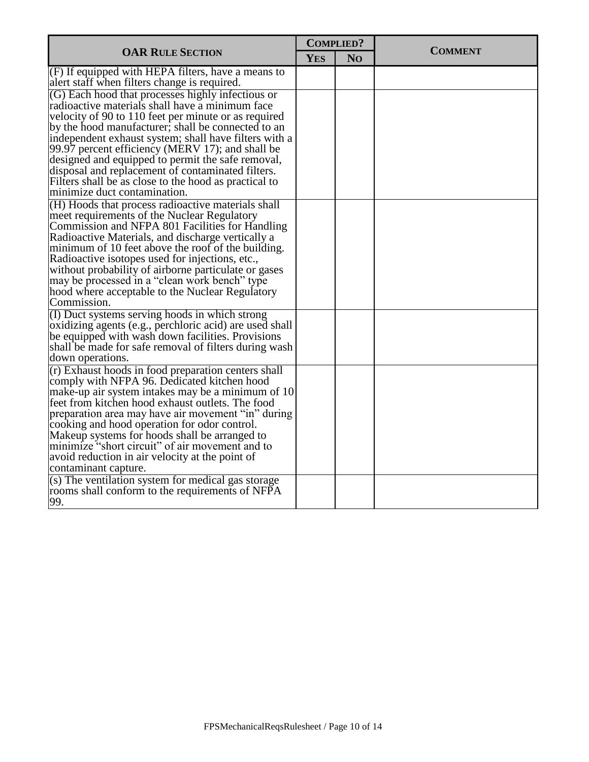| N <sub>O</sub><br><b>YES</b><br>$(F)$ If equipped with HEPA filters, have a means to<br>alert staff when filters change is required.<br>(G) Each hood that processes highly infectious or<br>radioactive materials shall have a minimum face<br>velocity of 90 to 110 feet per minute or as required<br>by the hood manufacturer; shall be connected to an<br>independent exhaust system; shall have filters with a<br>99.97 percent efficiency (MERV 17); and shall be<br>designed and equipped to permit the safe removal,<br>disposal and replacement of contaminated filters.<br>Filters shall be as close to the hood as practical to<br>minimize duct contamination.<br>(H) Hoods that process radioactive materials shall<br>meet requirements of the Nuclear Regulatory<br>Commission and NFPA 801 Facilities for Handling<br>Radioactive Materials, and discharge vertically a<br>minimum of 10 feet above the roof of the building.<br>Radioactive isotopes used for injections, etc.,<br>without probability of airborne particulate or gases<br>may be processed in a "clean work bench" type<br>hood where acceptable to the Nuclear Regulatory<br>Commission.<br>(I) Duct systems serving hoods in which strong<br>oxidizing agents (e.g., perchloric acid) are used shall<br>be equipped with wash down facilities. Provisions<br>shall be made for safe removal of filters during wash<br>down operations.<br>(r) Exhaust hoods in food preparation centers shall<br>comply with NFPA 96. Dedicated kitchen hood<br>make-up air system intakes may be a minimum of 10<br>feet from kitchen hood exhaust outlets. The food<br>preparation area may have air movement "in" during<br>cooking and hood operation for odor control.<br>Makeup systems for hoods shall be arranged to<br>minimize "short circuit" of air movement and to<br>avoid reduction in air velocity at the point of<br>contaminant capture.<br>(s) The ventilation system for medical gas storage |                                                 | <b>COMPLIED?</b> |  | <b>COMMENT</b> |
|--------------------------------------------------------------------------------------------------------------------------------------------------------------------------------------------------------------------------------------------------------------------------------------------------------------------------------------------------------------------------------------------------------------------------------------------------------------------------------------------------------------------------------------------------------------------------------------------------------------------------------------------------------------------------------------------------------------------------------------------------------------------------------------------------------------------------------------------------------------------------------------------------------------------------------------------------------------------------------------------------------------------------------------------------------------------------------------------------------------------------------------------------------------------------------------------------------------------------------------------------------------------------------------------------------------------------------------------------------------------------------------------------------------------------------------------------------------------------------------------------------------------------------------------------------------------------------------------------------------------------------------------------------------------------------------------------------------------------------------------------------------------------------------------------------------------------------------------------------------------------------------------------------------------------------------------------------------------------------------|-------------------------------------------------|------------------|--|----------------|
|                                                                                                                                                                                                                                                                                                                                                                                                                                                                                                                                                                                                                                                                                                                                                                                                                                                                                                                                                                                                                                                                                                                                                                                                                                                                                                                                                                                                                                                                                                                                                                                                                                                                                                                                                                                                                                                                                                                                                                                      | <b>OAR RULE SECTION</b>                         |                  |  |                |
|                                                                                                                                                                                                                                                                                                                                                                                                                                                                                                                                                                                                                                                                                                                                                                                                                                                                                                                                                                                                                                                                                                                                                                                                                                                                                                                                                                                                                                                                                                                                                                                                                                                                                                                                                                                                                                                                                                                                                                                      |                                                 |                  |  |                |
|                                                                                                                                                                                                                                                                                                                                                                                                                                                                                                                                                                                                                                                                                                                                                                                                                                                                                                                                                                                                                                                                                                                                                                                                                                                                                                                                                                                                                                                                                                                                                                                                                                                                                                                                                                                                                                                                                                                                                                                      |                                                 |                  |  |                |
|                                                                                                                                                                                                                                                                                                                                                                                                                                                                                                                                                                                                                                                                                                                                                                                                                                                                                                                                                                                                                                                                                                                                                                                                                                                                                                                                                                                                                                                                                                                                                                                                                                                                                                                                                                                                                                                                                                                                                                                      |                                                 |                  |  |                |
|                                                                                                                                                                                                                                                                                                                                                                                                                                                                                                                                                                                                                                                                                                                                                                                                                                                                                                                                                                                                                                                                                                                                                                                                                                                                                                                                                                                                                                                                                                                                                                                                                                                                                                                                                                                                                                                                                                                                                                                      |                                                 |                  |  |                |
|                                                                                                                                                                                                                                                                                                                                                                                                                                                                                                                                                                                                                                                                                                                                                                                                                                                                                                                                                                                                                                                                                                                                                                                                                                                                                                                                                                                                                                                                                                                                                                                                                                                                                                                                                                                                                                                                                                                                                                                      |                                                 |                  |  |                |
|                                                                                                                                                                                                                                                                                                                                                                                                                                                                                                                                                                                                                                                                                                                                                                                                                                                                                                                                                                                                                                                                                                                                                                                                                                                                                                                                                                                                                                                                                                                                                                                                                                                                                                                                                                                                                                                                                                                                                                                      |                                                 |                  |  |                |
|                                                                                                                                                                                                                                                                                                                                                                                                                                                                                                                                                                                                                                                                                                                                                                                                                                                                                                                                                                                                                                                                                                                                                                                                                                                                                                                                                                                                                                                                                                                                                                                                                                                                                                                                                                                                                                                                                                                                                                                      |                                                 |                  |  |                |
|                                                                                                                                                                                                                                                                                                                                                                                                                                                                                                                                                                                                                                                                                                                                                                                                                                                                                                                                                                                                                                                                                                                                                                                                                                                                                                                                                                                                                                                                                                                                                                                                                                                                                                                                                                                                                                                                                                                                                                                      |                                                 |                  |  |                |
|                                                                                                                                                                                                                                                                                                                                                                                                                                                                                                                                                                                                                                                                                                                                                                                                                                                                                                                                                                                                                                                                                                                                                                                                                                                                                                                                                                                                                                                                                                                                                                                                                                                                                                                                                                                                                                                                                                                                                                                      |                                                 |                  |  |                |
|                                                                                                                                                                                                                                                                                                                                                                                                                                                                                                                                                                                                                                                                                                                                                                                                                                                                                                                                                                                                                                                                                                                                                                                                                                                                                                                                                                                                                                                                                                                                                                                                                                                                                                                                                                                                                                                                                                                                                                                      |                                                 |                  |  |                |
|                                                                                                                                                                                                                                                                                                                                                                                                                                                                                                                                                                                                                                                                                                                                                                                                                                                                                                                                                                                                                                                                                                                                                                                                                                                                                                                                                                                                                                                                                                                                                                                                                                                                                                                                                                                                                                                                                                                                                                                      |                                                 |                  |  |                |
|                                                                                                                                                                                                                                                                                                                                                                                                                                                                                                                                                                                                                                                                                                                                                                                                                                                                                                                                                                                                                                                                                                                                                                                                                                                                                                                                                                                                                                                                                                                                                                                                                                                                                                                                                                                                                                                                                                                                                                                      |                                                 |                  |  |                |
|                                                                                                                                                                                                                                                                                                                                                                                                                                                                                                                                                                                                                                                                                                                                                                                                                                                                                                                                                                                                                                                                                                                                                                                                                                                                                                                                                                                                                                                                                                                                                                                                                                                                                                                                                                                                                                                                                                                                                                                      |                                                 |                  |  |                |
|                                                                                                                                                                                                                                                                                                                                                                                                                                                                                                                                                                                                                                                                                                                                                                                                                                                                                                                                                                                                                                                                                                                                                                                                                                                                                                                                                                                                                                                                                                                                                                                                                                                                                                                                                                                                                                                                                                                                                                                      |                                                 |                  |  |                |
|                                                                                                                                                                                                                                                                                                                                                                                                                                                                                                                                                                                                                                                                                                                                                                                                                                                                                                                                                                                                                                                                                                                                                                                                                                                                                                                                                                                                                                                                                                                                                                                                                                                                                                                                                                                                                                                                                                                                                                                      |                                                 |                  |  |                |
|                                                                                                                                                                                                                                                                                                                                                                                                                                                                                                                                                                                                                                                                                                                                                                                                                                                                                                                                                                                                                                                                                                                                                                                                                                                                                                                                                                                                                                                                                                                                                                                                                                                                                                                                                                                                                                                                                                                                                                                      |                                                 |                  |  |                |
|                                                                                                                                                                                                                                                                                                                                                                                                                                                                                                                                                                                                                                                                                                                                                                                                                                                                                                                                                                                                                                                                                                                                                                                                                                                                                                                                                                                                                                                                                                                                                                                                                                                                                                                                                                                                                                                                                                                                                                                      |                                                 |                  |  |                |
|                                                                                                                                                                                                                                                                                                                                                                                                                                                                                                                                                                                                                                                                                                                                                                                                                                                                                                                                                                                                                                                                                                                                                                                                                                                                                                                                                                                                                                                                                                                                                                                                                                                                                                                                                                                                                                                                                                                                                                                      |                                                 |                  |  |                |
|                                                                                                                                                                                                                                                                                                                                                                                                                                                                                                                                                                                                                                                                                                                                                                                                                                                                                                                                                                                                                                                                                                                                                                                                                                                                                                                                                                                                                                                                                                                                                                                                                                                                                                                                                                                                                                                                                                                                                                                      |                                                 |                  |  |                |
|                                                                                                                                                                                                                                                                                                                                                                                                                                                                                                                                                                                                                                                                                                                                                                                                                                                                                                                                                                                                                                                                                                                                                                                                                                                                                                                                                                                                                                                                                                                                                                                                                                                                                                                                                                                                                                                                                                                                                                                      |                                                 |                  |  |                |
|                                                                                                                                                                                                                                                                                                                                                                                                                                                                                                                                                                                                                                                                                                                                                                                                                                                                                                                                                                                                                                                                                                                                                                                                                                                                                                                                                                                                                                                                                                                                                                                                                                                                                                                                                                                                                                                                                                                                                                                      |                                                 |                  |  |                |
|                                                                                                                                                                                                                                                                                                                                                                                                                                                                                                                                                                                                                                                                                                                                                                                                                                                                                                                                                                                                                                                                                                                                                                                                                                                                                                                                                                                                                                                                                                                                                                                                                                                                                                                                                                                                                                                                                                                                                                                      |                                                 |                  |  |                |
|                                                                                                                                                                                                                                                                                                                                                                                                                                                                                                                                                                                                                                                                                                                                                                                                                                                                                                                                                                                                                                                                                                                                                                                                                                                                                                                                                                                                                                                                                                                                                                                                                                                                                                                                                                                                                                                                                                                                                                                      |                                                 |                  |  |                |
|                                                                                                                                                                                                                                                                                                                                                                                                                                                                                                                                                                                                                                                                                                                                                                                                                                                                                                                                                                                                                                                                                                                                                                                                                                                                                                                                                                                                                                                                                                                                                                                                                                                                                                                                                                                                                                                                                                                                                                                      |                                                 |                  |  |                |
|                                                                                                                                                                                                                                                                                                                                                                                                                                                                                                                                                                                                                                                                                                                                                                                                                                                                                                                                                                                                                                                                                                                                                                                                                                                                                                                                                                                                                                                                                                                                                                                                                                                                                                                                                                                                                                                                                                                                                                                      |                                                 |                  |  |                |
|                                                                                                                                                                                                                                                                                                                                                                                                                                                                                                                                                                                                                                                                                                                                                                                                                                                                                                                                                                                                                                                                                                                                                                                                                                                                                                                                                                                                                                                                                                                                                                                                                                                                                                                                                                                                                                                                                                                                                                                      |                                                 |                  |  |                |
|                                                                                                                                                                                                                                                                                                                                                                                                                                                                                                                                                                                                                                                                                                                                                                                                                                                                                                                                                                                                                                                                                                                                                                                                                                                                                                                                                                                                                                                                                                                                                                                                                                                                                                                                                                                                                                                                                                                                                                                      |                                                 |                  |  |                |
|                                                                                                                                                                                                                                                                                                                                                                                                                                                                                                                                                                                                                                                                                                                                                                                                                                                                                                                                                                                                                                                                                                                                                                                                                                                                                                                                                                                                                                                                                                                                                                                                                                                                                                                                                                                                                                                                                                                                                                                      |                                                 |                  |  |                |
|                                                                                                                                                                                                                                                                                                                                                                                                                                                                                                                                                                                                                                                                                                                                                                                                                                                                                                                                                                                                                                                                                                                                                                                                                                                                                                                                                                                                                                                                                                                                                                                                                                                                                                                                                                                                                                                                                                                                                                                      |                                                 |                  |  |                |
|                                                                                                                                                                                                                                                                                                                                                                                                                                                                                                                                                                                                                                                                                                                                                                                                                                                                                                                                                                                                                                                                                                                                                                                                                                                                                                                                                                                                                                                                                                                                                                                                                                                                                                                                                                                                                                                                                                                                                                                      |                                                 |                  |  |                |
|                                                                                                                                                                                                                                                                                                                                                                                                                                                                                                                                                                                                                                                                                                                                                                                                                                                                                                                                                                                                                                                                                                                                                                                                                                                                                                                                                                                                                                                                                                                                                                                                                                                                                                                                                                                                                                                                                                                                                                                      |                                                 |                  |  |                |
|                                                                                                                                                                                                                                                                                                                                                                                                                                                                                                                                                                                                                                                                                                                                                                                                                                                                                                                                                                                                                                                                                                                                                                                                                                                                                                                                                                                                                                                                                                                                                                                                                                                                                                                                                                                                                                                                                                                                                                                      |                                                 |                  |  |                |
|                                                                                                                                                                                                                                                                                                                                                                                                                                                                                                                                                                                                                                                                                                                                                                                                                                                                                                                                                                                                                                                                                                                                                                                                                                                                                                                                                                                                                                                                                                                                                                                                                                                                                                                                                                                                                                                                                                                                                                                      |                                                 |                  |  |                |
|                                                                                                                                                                                                                                                                                                                                                                                                                                                                                                                                                                                                                                                                                                                                                                                                                                                                                                                                                                                                                                                                                                                                                                                                                                                                                                                                                                                                                                                                                                                                                                                                                                                                                                                                                                                                                                                                                                                                                                                      |                                                 |                  |  |                |
|                                                                                                                                                                                                                                                                                                                                                                                                                                                                                                                                                                                                                                                                                                                                                                                                                                                                                                                                                                                                                                                                                                                                                                                                                                                                                                                                                                                                                                                                                                                                                                                                                                                                                                                                                                                                                                                                                                                                                                                      |                                                 |                  |  |                |
|                                                                                                                                                                                                                                                                                                                                                                                                                                                                                                                                                                                                                                                                                                                                                                                                                                                                                                                                                                                                                                                                                                                                                                                                                                                                                                                                                                                                                                                                                                                                                                                                                                                                                                                                                                                                                                                                                                                                                                                      |                                                 |                  |  |                |
|                                                                                                                                                                                                                                                                                                                                                                                                                                                                                                                                                                                                                                                                                                                                                                                                                                                                                                                                                                                                                                                                                                                                                                                                                                                                                                                                                                                                                                                                                                                                                                                                                                                                                                                                                                                                                                                                                                                                                                                      | rooms shall conform to the requirements of NFPA |                  |  |                |
| 99.                                                                                                                                                                                                                                                                                                                                                                                                                                                                                                                                                                                                                                                                                                                                                                                                                                                                                                                                                                                                                                                                                                                                                                                                                                                                                                                                                                                                                                                                                                                                                                                                                                                                                                                                                                                                                                                                                                                                                                                  |                                                 |                  |  |                |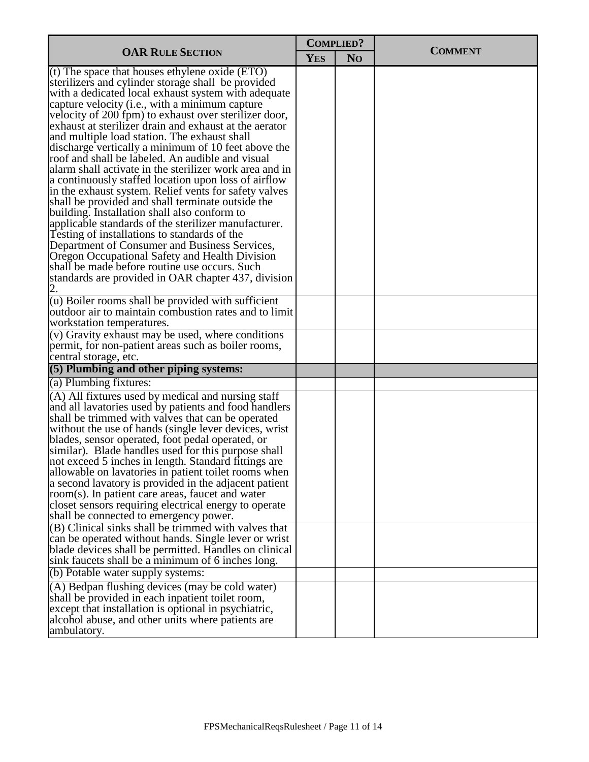|                                                                                                                                                                                                                                                                                                                                                                                                                                                                                                                                                                                                                                                                                                                                                                                                                                                                                                                                                                                           | <b>COMPLIED?</b> |                |                |  |
|-------------------------------------------------------------------------------------------------------------------------------------------------------------------------------------------------------------------------------------------------------------------------------------------------------------------------------------------------------------------------------------------------------------------------------------------------------------------------------------------------------------------------------------------------------------------------------------------------------------------------------------------------------------------------------------------------------------------------------------------------------------------------------------------------------------------------------------------------------------------------------------------------------------------------------------------------------------------------------------------|------------------|----------------|----------------|--|
| <b>OAR RULE SECTION</b>                                                                                                                                                                                                                                                                                                                                                                                                                                                                                                                                                                                                                                                                                                                                                                                                                                                                                                                                                                   | <b>YES</b>       | N <sub>O</sub> | <b>COMMENT</b> |  |
| $(t)$ The space that houses ethylene oxide (ETO)<br>sterilizers and cylinder storage shall be provided<br>with a dedicated local exhaust system with adequate<br>capture velocity (i.e., with a minimum capture<br>velocity of 200 fpm) to exhaust over sterilizer door,<br>exhaust at sterilizer drain and exhaust at the aerator<br>and multiple load station. The exhaust shall<br>discharge vertically a minimum of 10 feet above the<br>roof and shall be labeled. An audible and visual<br>alarm shall activate in the sterilizer work area and in<br>a continuously staffed location upon loss of airflow<br>in the exhaust system. Relief vents for safety valves<br>shall be provided and shall terminate outside the<br>building. Installation shall also conform to<br>applicable standards of the sterilizer manufacturer.<br>Testing of installations to standards of the<br>Department of Consumer and Business Services,<br>Oregon Occupational Safety and Health Division |                  |                |                |  |
| shall be made before routine use occurs. Such<br>standards are provided in OAR chapter 437, division                                                                                                                                                                                                                                                                                                                                                                                                                                                                                                                                                                                                                                                                                                                                                                                                                                                                                      |                  |                |                |  |
| (u) Boiler rooms shall be provided with sufficient<br>outdoor air to maintain combustion rates and to limit<br>workstation temperatures.                                                                                                                                                                                                                                                                                                                                                                                                                                                                                                                                                                                                                                                                                                                                                                                                                                                  |                  |                |                |  |
| (v) Gravity exhaust may be used, where conditions<br>permit, for non-patient areas such as boiler rooms,<br>central storage, etc.                                                                                                                                                                                                                                                                                                                                                                                                                                                                                                                                                                                                                                                                                                                                                                                                                                                         |                  |                |                |  |
| (5) Plumbing and other piping systems:                                                                                                                                                                                                                                                                                                                                                                                                                                                                                                                                                                                                                                                                                                                                                                                                                                                                                                                                                    |                  |                |                |  |
| (a) Plumbing fixtures:                                                                                                                                                                                                                                                                                                                                                                                                                                                                                                                                                                                                                                                                                                                                                                                                                                                                                                                                                                    |                  |                |                |  |
| (A) All fixtures used by medical and nursing staff<br>and all lavatories used by patients and food handlers<br>shall be trimmed with valves that can be operated<br>without the use of hands (single lever devices, wrist<br>blades, sensor operated, foot pedal operated, or<br>similar). Blade handles used for this purpose shall<br>not exceed 5 inches in length. Standard fittings are<br>allowable on lavatories in patient toilet rooms when<br>a second lavatory is provided in the adjacent patient<br>room(s). In patient care areas, faucet and water<br>closet sensors requiring electrical energy to operate<br>shall be connected to emergency power.<br>(B) Clinical sinks shall be trimmed with valves that                                                                                                                                                                                                                                                              |                  |                |                |  |
| can be operated without hands. Single lever or wrist<br>blade devices shall be permitted. Handles on clinical<br>sink faucets shall be a minimum of 6 inches long.                                                                                                                                                                                                                                                                                                                                                                                                                                                                                                                                                                                                                                                                                                                                                                                                                        |                  |                |                |  |
| (b) Potable water supply systems:                                                                                                                                                                                                                                                                                                                                                                                                                                                                                                                                                                                                                                                                                                                                                                                                                                                                                                                                                         |                  |                |                |  |
| (A) Bedpan flushing devices (may be cold water)<br>shall be provided in each inpatient toilet room,<br>except that installation is optional in psychiatric,<br>alcohol abuse, and other units where patients are<br>ambulatory.                                                                                                                                                                                                                                                                                                                                                                                                                                                                                                                                                                                                                                                                                                                                                           |                  |                |                |  |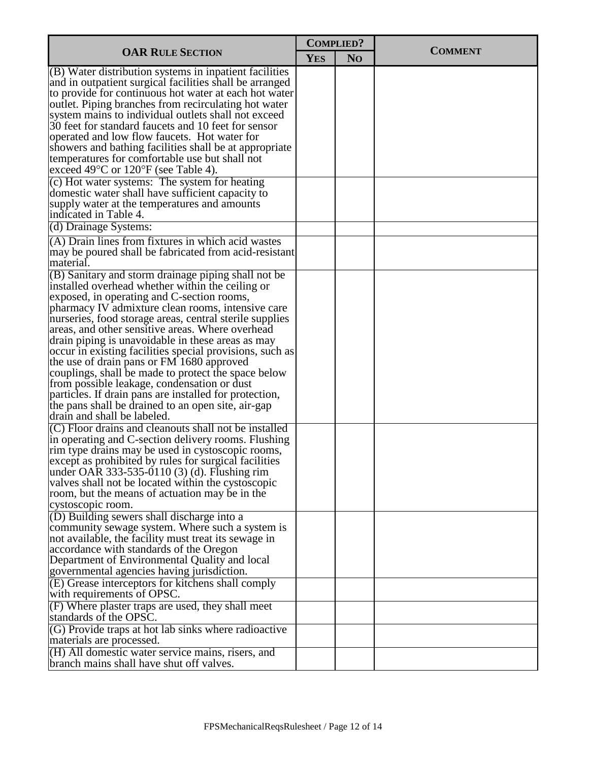| <b>OAR RULE SECTION</b>                                                                                                                                                                                                                                                                                                                                                                                                                                                                                                                                                                                                                                                                                                                                                                                                                                                                                                                                                                                                                                                                                                            | <b>COMPLIED?</b> |                |                |
|------------------------------------------------------------------------------------------------------------------------------------------------------------------------------------------------------------------------------------------------------------------------------------------------------------------------------------------------------------------------------------------------------------------------------------------------------------------------------------------------------------------------------------------------------------------------------------------------------------------------------------------------------------------------------------------------------------------------------------------------------------------------------------------------------------------------------------------------------------------------------------------------------------------------------------------------------------------------------------------------------------------------------------------------------------------------------------------------------------------------------------|------------------|----------------|----------------|
|                                                                                                                                                                                                                                                                                                                                                                                                                                                                                                                                                                                                                                                                                                                                                                                                                                                                                                                                                                                                                                                                                                                                    | <b>YES</b>       | N <sub>O</sub> | <b>COMMENT</b> |
| (B) Water distribution systems in inpatient facilities<br>and in outpatient surgical facilities shall be arranged<br>to provide for continuous hot water at each hot water<br>outlet. Piping branches from recirculating hot water<br>system mains to individual outlets shall not exceed<br>30 feet for standard faucets and 10 feet for sensor<br>operated and low flow faucets. Hot water for<br>showers and bathing facilities shall be at appropriate<br>temperatures for comfortable use but shall not<br>exceed 49°C or 120°F (see Table 4).<br>(c) Hot water systems: The system for heating                                                                                                                                                                                                                                                                                                                                                                                                                                                                                                                               |                  |                |                |
| domestic water shall have sufficient capacity to<br>supply water at the temperatures and amounts<br>indicated in Table 4.                                                                                                                                                                                                                                                                                                                                                                                                                                                                                                                                                                                                                                                                                                                                                                                                                                                                                                                                                                                                          |                  |                |                |
| (d) Drainage Systems:                                                                                                                                                                                                                                                                                                                                                                                                                                                                                                                                                                                                                                                                                                                                                                                                                                                                                                                                                                                                                                                                                                              |                  |                |                |
| (A) Drain lines from fixtures in which acid wastes<br>may be poured shall be fabricated from acid-resistant<br>material.                                                                                                                                                                                                                                                                                                                                                                                                                                                                                                                                                                                                                                                                                                                                                                                                                                                                                                                                                                                                           |                  |                |                |
| (B) Sanitary and storm drainage piping shall not be<br>installed overhead whether within the ceiling or<br>exposed, in operating and C-section rooms,<br>pharmacy IV admixture clean rooms, intensive care<br>nurseries, food storage areas, central sterile supplies<br>areas, and other sensitive areas. Where overhead<br>drain piping is unavoidable in these areas as may<br>occur in existing facilities special provisions, such as<br>the use of drain pans or FM 1680 approved<br>couplings, shall be made to protect the space below<br>from possible leakage, condensation or dust<br>particles. If drain pans are installed for protection,<br>the pans shall be drained to an open site, air-gap<br>drain and shall be labeled.<br>(C) Floor drains and cleanouts shall not be installed<br>in operating and C-section delivery rooms. Flushing<br>rim type drains may be used in cystoscopic rooms,<br>except as prohibited by rules for surgical facilities<br>under OAR 333-535-0110 (3) (d). Flushing rim<br>valves shall not be located within the cystoscopic<br>room, but the means of actuation may be in the |                  |                |                |
| cystoscopic room.<br>(D) Building sewers shall discharge into a<br>community sewage system. Where such a system is<br>not available, the facility must treat its sewage in<br>accordance with standards of the Oregon<br>Department of Environmental Quality and local<br>governmental agencies having jurisdiction.                                                                                                                                                                                                                                                                                                                                                                                                                                                                                                                                                                                                                                                                                                                                                                                                               |                  |                |                |
| (E) Grease interceptors for kitchens shall comply<br>with requirements of OPSC.<br>(F) Where plaster traps are used, they shall meet                                                                                                                                                                                                                                                                                                                                                                                                                                                                                                                                                                                                                                                                                                                                                                                                                                                                                                                                                                                               |                  |                |                |
| standards of the OPSC.<br>(G) Provide traps at hot lab sinks where radioactive                                                                                                                                                                                                                                                                                                                                                                                                                                                                                                                                                                                                                                                                                                                                                                                                                                                                                                                                                                                                                                                     |                  |                |                |
| materials are processed.<br>(H) All domestic water service mains, risers, and                                                                                                                                                                                                                                                                                                                                                                                                                                                                                                                                                                                                                                                                                                                                                                                                                                                                                                                                                                                                                                                      |                  |                |                |
| branch mains shall have shut off valves.                                                                                                                                                                                                                                                                                                                                                                                                                                                                                                                                                                                                                                                                                                                                                                                                                                                                                                                                                                                                                                                                                           |                  |                |                |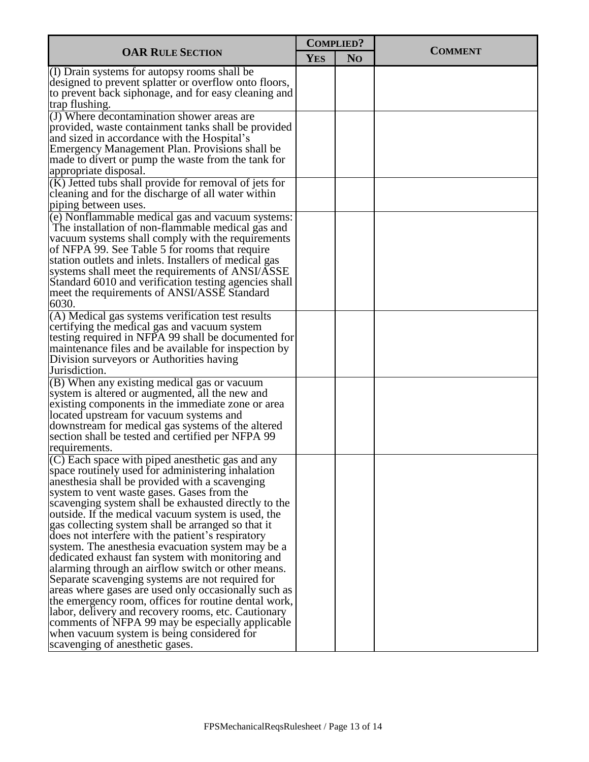| <b>OAR RULE SECTION</b>                                                                                       |            | <b>COMPLIED?</b> | <b>COMMENT</b> |
|---------------------------------------------------------------------------------------------------------------|------------|------------------|----------------|
|                                                                                                               | <b>YES</b> | N <sub>O</sub>   |                |
| (I) Drain systems for autopsy rooms shall be                                                                  |            |                  |                |
| designed to prevent splatter or overflow onto floors,<br>to prevent back siphonage, and for easy cleaning and |            |                  |                |
| trap flushing.                                                                                                |            |                  |                |
| (J) Where decontamination shower areas are                                                                    |            |                  |                |
| provided, waste containment tanks shall be provided                                                           |            |                  |                |
| and sized in accordance with the Hospital's                                                                   |            |                  |                |
| Emergency Management Plan. Provisions shall be                                                                |            |                  |                |
| made to divert or pump the waste from the tank for                                                            |            |                  |                |
| appropriate disposal.                                                                                         |            |                  |                |
| (K) Jetted tubs shall provide for removal of jets for<br>cleaning and for the discharge of all water within   |            |                  |                |
| piping between uses.                                                                                          |            |                  |                |
| (e) Nonflammable medical gas and vacuum systems:                                                              |            |                  |                |
| The installation of non-flammable medical gas and                                                             |            |                  |                |
| vacuum systems shall comply with the requirements                                                             |            |                  |                |
| of NFPA 99. See Table 5 for rooms that require                                                                |            |                  |                |
| station outlets and inlets. Installers of medical gas                                                         |            |                  |                |
| systems shall meet the requirements of ANSI/ASSE                                                              |            |                  |                |
| Standard 6010 and verification testing agencies shall                                                         |            |                  |                |
| meet the requirements of ANSI/ASSE Standard<br>6030.                                                          |            |                  |                |
| (A) Medical gas systems verification test results                                                             |            |                  |                |
| certifying the medical gas and vacuum system                                                                  |            |                  |                |
| testing required in NFPA 99 shall be documented for                                                           |            |                  |                |
| maintenance files and be available for inspection by                                                          |            |                  |                |
| Division surveyors or Authorities having                                                                      |            |                  |                |
| Jurisdiction.                                                                                                 |            |                  |                |
| (B) When any existing medical gas or vacuum                                                                   |            |                  |                |
| system is altered or augmented, all the new and                                                               |            |                  |                |
| existing components in the immediate zone or area<br>located upstream for vacuum systems and                  |            |                  |                |
| downstream for medical gas systems of the altered                                                             |            |                  |                |
| section shall be tested and certified per NFPA 99                                                             |            |                  |                |
| requirements.                                                                                                 |            |                  |                |
| $(C)$ Each space with piped anesthetic gas and any                                                            |            |                  |                |
| space routinely used for administering inhalation                                                             |            |                  |                |
| anesthesia shall be provided with a scavenging                                                                |            |                  |                |
| system to vent waste gases. Gases from the                                                                    |            |                  |                |
| scavenging system shall be exhausted directly to the                                                          |            |                  |                |
| outside. If the medical vacuum system is used, the<br>gas collecting system shall be arranged so that it      |            |                  |                |
| does not interfere with the patient's respiratory                                                             |            |                  |                |
| system. The anesthesia evacuation system may be a                                                             |            |                  |                |
| dedicated exhaust fan system with monitoring and                                                              |            |                  |                |
| alarming through an airflow switch or other means.                                                            |            |                  |                |
| Separate scavenging systems are not required for                                                              |            |                  |                |
| areas where gases are used only occasionally such as                                                          |            |                  |                |
| the emergency room, offices for routine dental work,                                                          |            |                  |                |
| labor, delivery and recovery rooms, etc. Cautionary<br>comments of NFPA 99 may be especially applicable       |            |                  |                |
| when vacuum system is being considered for                                                                    |            |                  |                |
| scavenging of anesthetic gases.                                                                               |            |                  |                |